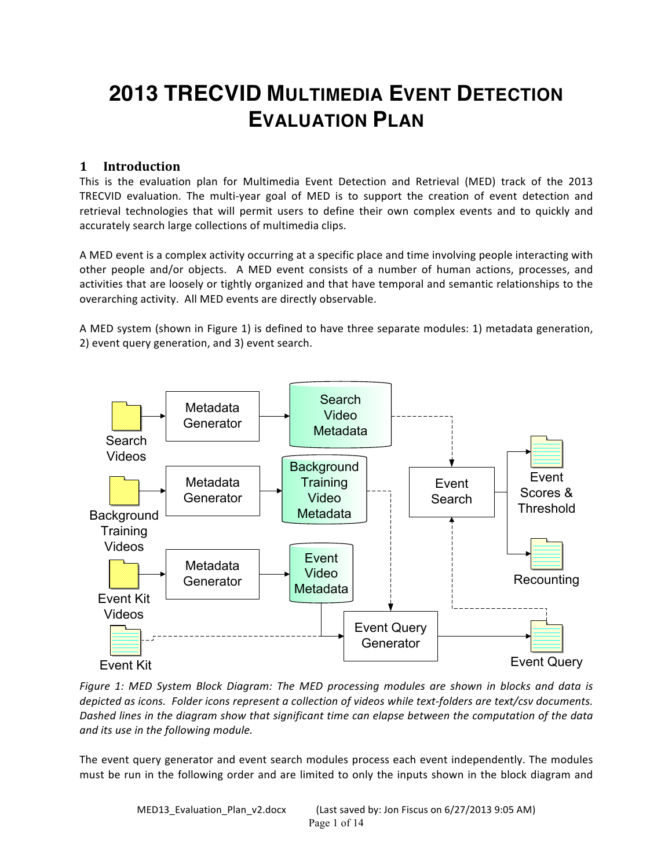# **2013 TRECVID MULTIMEDIA EVENT DETECTION EVALUATION PLAN**

# **1 Introduction**

This is the evaluation plan for Multimedia Event Detection and Retrieval (MED) track of the 2013 TRECVID evaluation. The multi-year goal of MED is to support the creation of event detection and retrieval technologies that will permit users to define their own complex events and to quickly and accurately search large collections of multimedia clips.

A MED event is a complex activity occurring at a specific place and time involving people interacting with other people and/or objects. A MED event consists of a number of human actions, processes, and activities that are loosely or tightly organized and that have temporal and semantic relationships to the overarching activity. All MED events are directly observable.

A MED system (shown in Figure 1) is defined to have three separate modules: 1) metadata generation, 2) event query generation, and 3) event search.



*Figure 1:* MED System Block Diagram: The MED processing modules are shown in blocks and data is *depicted* as *icons.* Folder *icons represent a collection of videos while text-folders are text/csv documents.* Dashed lines in the diagram show that significant time can elapse between the computation of the data *and its use in the following module.*

The event query generator and event search modules process each event independently. The modules must be run in the following order and are limited to only the inputs shown in the block diagram and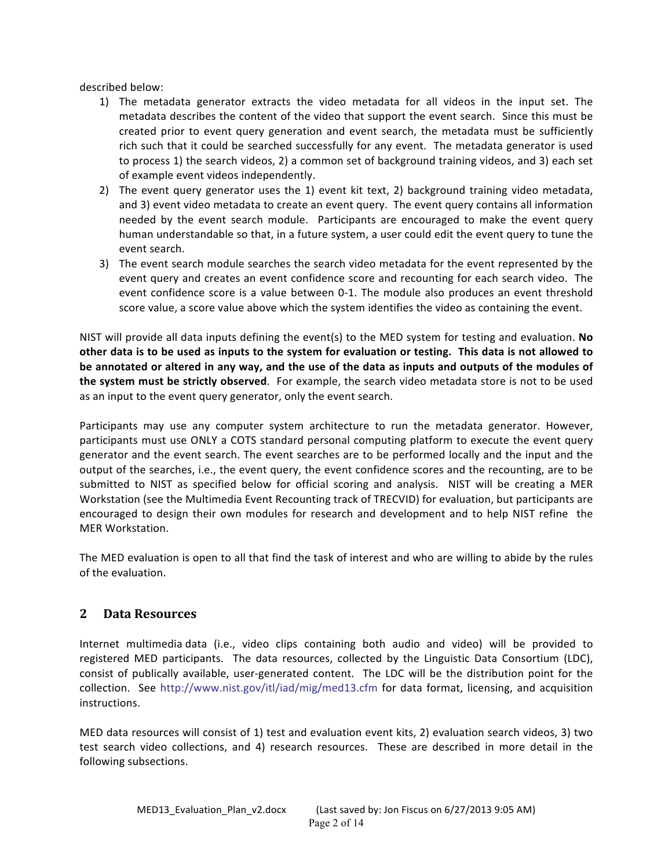described below:

- 1) The metadata generator extracts the video metadata for all videos in the input set. The metadata describes the content of the video that support the event search. Since this must be created prior to event query generation and event search, the metadata must be sufficiently rich such that it could be searched successfully for any event. The metadata generator is used to process 1) the search videos, 2) a common set of background training videos, and 3) each set of example event videos independently.
- 2) The event query generator uses the 1) event kit text, 2) background training video metadata, and 3) event video metadata to create an event query. The event query contains all information needed by the event search module. Participants are encouraged to make the event query human understandable so that, in a future system, a user could edit the event query to tune the event search.
- 3) The event search module searches the search video metadata for the event represented by the event query and creates an event confidence score and recounting for each search video. The event confidence score is a value between 0-1. The module also produces an event threshold score value, a score value above which the system identifies the video as containing the event.

NIST will provide all data inputs defining the event(s) to the MED system for testing and evaluation. No other data is to be used as inputs to the system for evaluation or testing. This data is not allowed to be annotated or altered in any way, and the use of the data as inputs and outputs of the modules of **the system must be strictly observed**. For example, the search video metadata store is not to be used as an input to the event query generator, only the event search.

Participants may use any computer system architecture to run the metadata generator. However, participants must use ONLY a COTS standard personal computing platform to execute the event query generator and the event search. The event searches are to be performed locally and the input and the output of the searches, i.e., the event query, the event confidence scores and the recounting, are to be submitted to NIST as specified below for official scoring and analysis. NIST will be creating a MER Workstation (see the Multimedia Event Recounting track of TRECVID) for evaluation, but participants are encouraged to design their own modules for research and development and to help NIST refine the MER Workstation.

The MED evaluation is open to all that find the task of interest and who are willing to abide by the rules of the evaluation.

# **2 Data Resources**

Internet multimedia data (i.e., video clips containing both audio and video) will be provided to registered MED participants. The data resources, collected by the Linguistic Data Consortium (LDC), consist of publically available, user-generated content. The LDC will be the distribution point for the collection. See http://www.nist.gov/itl/iad/mig/med13.cfm for data format, licensing, and acquisition instructions.

MED data resources will consist of 1) test and evaluation event kits, 2) evaluation search videos, 3) two test search video collections, and 4) research resources. These are described in more detail in the following subsections.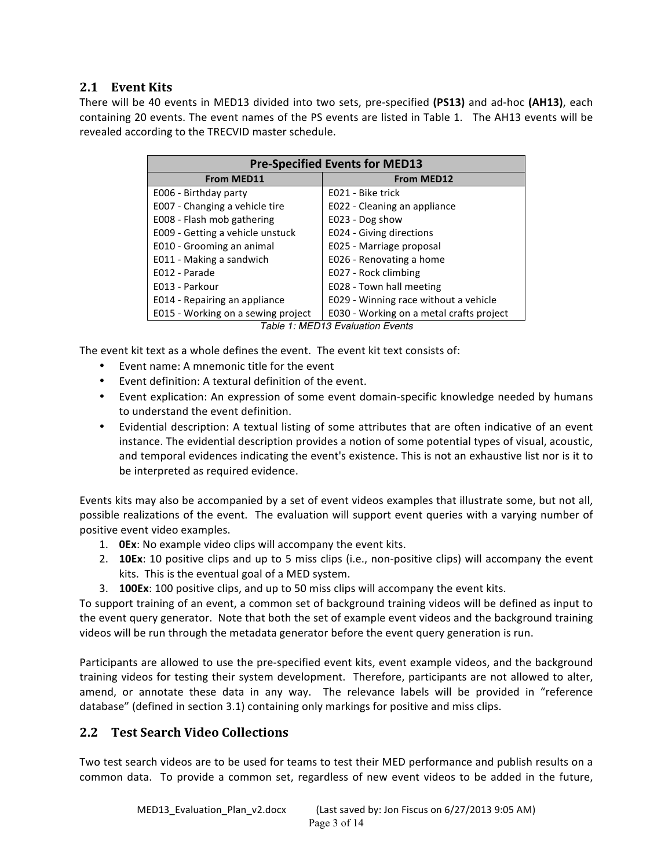# **2.1 Event Kits**

There will be 40 events in MED13 divided into two sets, pre-specified (PS13) and ad-hoc (AH13), each containing 20 events. The event names of the PS events are listed in Table 1. The AH13 events will be revealed according to the TRECVID master schedule.

| <b>Pre-Specified Events for MED13</b> |                                          |  |
|---------------------------------------|------------------------------------------|--|
| <b>From MED11</b>                     | <b>From MED12</b>                        |  |
| E006 - Birthday party                 | E021 - Bike trick                        |  |
| E007 - Changing a vehicle tire        | E022 - Cleaning an appliance             |  |
| E008 - Flash mob gathering            | E023 - Dog show                          |  |
| E009 - Getting a vehicle unstuck      | E024 - Giving directions                 |  |
| E010 - Grooming an animal             | E025 - Marriage proposal                 |  |
| E011 - Making a sandwich              | E026 - Renovating a home                 |  |
| E012 - Parade                         | E027 - Rock climbing                     |  |
| E013 - Parkour                        | E028 - Town hall meeting                 |  |
| E014 - Repairing an appliance         | E029 - Winning race without a vehicle    |  |
| E015 - Working on a sewing project    | E030 - Working on a metal crafts project |  |
|                                       | Tablo 1: MED13 Evaluation Evonte         |  |

*Table 1: MED13 Evaluation Events*

The event kit text as a whole defines the event. The event kit text consists of:

- Event name: A mnemonic title for the event
- Event definition: A textural definition of the event.
- Event explication: An expression of some event domain-specific knowledge needed by humans to understand the event definition.
- Evidential description: A textual listing of some attributes that are often indicative of an event instance. The evidential description provides a notion of some potential types of visual, acoustic, and temporal evidences indicating the event's existence. This is not an exhaustive list nor is it to be interpreted as required evidence.

Events kits may also be accompanied by a set of event videos examples that illustrate some, but not all, possible realizations of the event. The evaluation will support event queries with a varying number of positive event video examples.

- 1. **OEx**: No example video clips will accompany the event kits.
- 2. **10Ex**: 10 positive clips and up to 5 miss clips (i.e., non-positive clips) will accompany the event kits. This is the eventual goal of a MED system.
- 3. **100Ex**: 100 positive clips, and up to 50 miss clips will accompany the event kits.

To support training of an event, a common set of background training videos will be defined as input to the event query generator. Note that both the set of example event videos and the background training videos will be run through the metadata generator before the event query generation is run.

Participants are allowed to use the pre-specified event kits, event example videos, and the background training videos for testing their system development. Therefore, participants are not allowed to alter, amend, or annotate these data in any way. The relevance labels will be provided in "reference database" (defined in section 3.1) containing only markings for positive and miss clips.

# **2.2 Test Search Video Collections**

Two test search videos are to be used for teams to test their MED performance and publish results on a common data. To provide a common set, regardless of new event videos to be added in the future,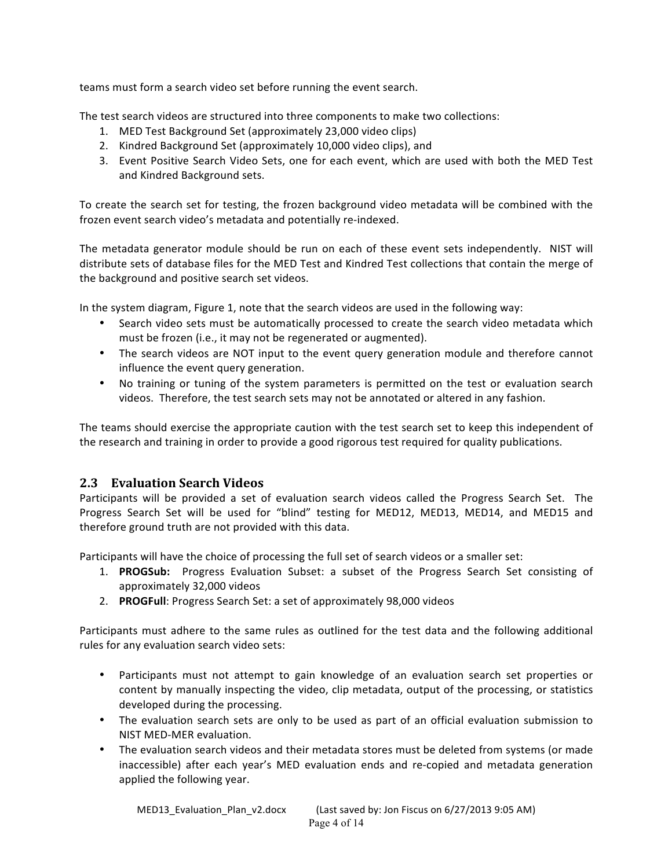teams must form a search video set before running the event search.

The test search videos are structured into three components to make two collections:

- 1. MED Test Background Set (approximately 23,000 video clips)
- 2. Kindred Background Set (approximately 10,000 video clips), and
- 3. Event Positive Search Video Sets, one for each event, which are used with both the MED Test and Kindred Background sets.

To create the search set for testing, the frozen background video metadata will be combined with the frozen event search video's metadata and potentially re-indexed.

The metadata generator module should be run on each of these event sets independently. NIST will distribute sets of database files for the MED Test and Kindred Test collections that contain the merge of the background and positive search set videos.

In the system diagram, Figure 1, note that the search videos are used in the following way:

- Search video sets must be automatically processed to create the search video metadata which must be frozen (i.e., it may not be regenerated or augmented).
- The search videos are NOT input to the event query generation module and therefore cannot influence the event query generation.
- No training or tuning of the system parameters is permitted on the test or evaluation search videos. Therefore, the test search sets may not be annotated or altered in any fashion.

The teams should exercise the appropriate caution with the test search set to keep this independent of the research and training in order to provide a good rigorous test required for quality publications.

# **2.3 Evaluation Search Videos**

Participants will be provided a set of evaluation search videos called the Progress Search Set. The Progress Search Set will be used for "blind" testing for MED12, MED13, MED14, and MED15 and therefore ground truth are not provided with this data.

Participants will have the choice of processing the full set of search videos or a smaller set:

- 1. **PROGSub:** Progress Evaluation Subset: a subset of the Progress Search Set consisting of approximately 32,000 videos
- 2. **PROGFull:** Progress Search Set: a set of approximately 98,000 videos

Participants must adhere to the same rules as outlined for the test data and the following additional rules for any evaluation search video sets:

- Participants must not attempt to gain knowledge of an evaluation search set properties or content by manually inspecting the video, clip metadata, output of the processing, or statistics developed during the processing.
- The evaluation search sets are only to be used as part of an official evaluation submission to NIST MED-MER evaluation.
- The evaluation search videos and their metadata stores must be deleted from systems (or made inaccessible) after each year's MED evaluation ends and re-copied and metadata generation applied the following year.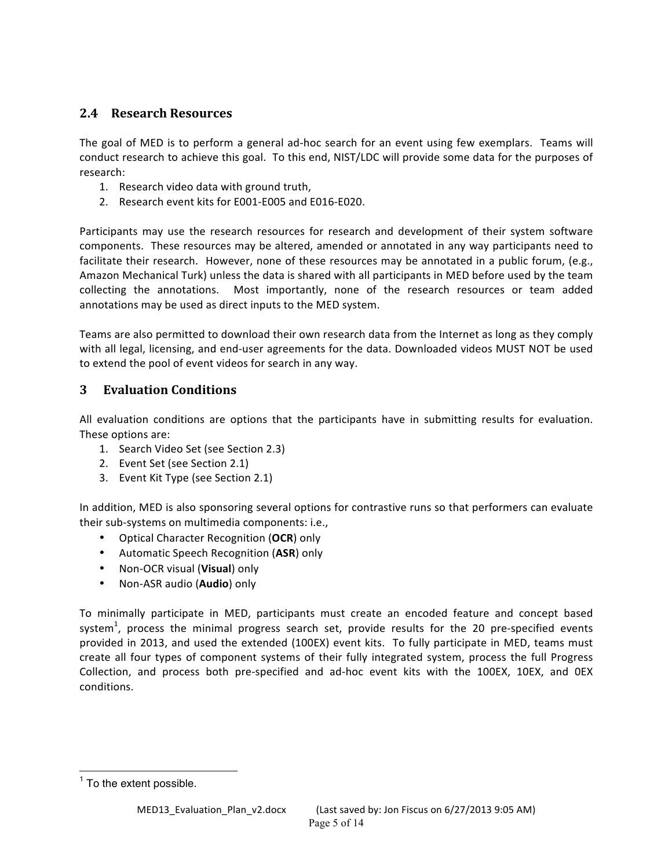# **2.4 Research Resources**

The goal of MED is to perform a general ad-hoc search for an event using few exemplars. Teams will conduct research to achieve this goal. To this end, NIST/LDC will provide some data for the purposes of research: 

- 1. Research video data with ground truth,
- 2. Research event kits for E001-E005 and E016-E020.

Participants may use the research resources for research and development of their system software components. These resources may be altered, amended or annotated in any way participants need to facilitate their research. However, none of these resources may be annotated in a public forum, (e.g., Amazon Mechanical Turk) unless the data is shared with all participants in MED before used by the team collecting the annotations. Most importantly, none of the research resources or team added annotations may be used as direct inputs to the MED system.

Teams are also permitted to download their own research data from the Internet as long as they comply with all legal, licensing, and end-user agreements for the data. Downloaded videos MUST NOT be used to extend the pool of event videos for search in any way.

# **3 Evaluation Conditions**

All evaluation conditions are options that the participants have in submitting results for evaluation. These options are:

- 1. Search Video Set (see Section 2.3)
- 2. Event Set (see Section 2.1)
- 3. Event Kit Type (see Section 2.1)

In addition, MED is also sponsoring several options for contrastive runs so that performers can evaluate their sub-systems on multimedia components: i.e.,

- Optical Character Recognition (OCR) only
- Automatic Speech Recognition (**ASR**) only
- Non-OCR visual (Visual) only
- Non-ASR audio (Audio) only

To minimally participate in MED, participants must create an encoded feature and concept based system<sup>1</sup>, process the minimal progress search set, provide results for the 20 pre-specified events provided in 2013, and used the extended (100EX) event kits. To fully participate in MED, teams must create all four types of component systems of their fully integrated system, process the full Progress Collection, and process both pre-specified and ad-hoc event kits with the 100EX, 10EX, and OEX conditions.

 $<sup>1</sup>$  To the extent possible.</sup>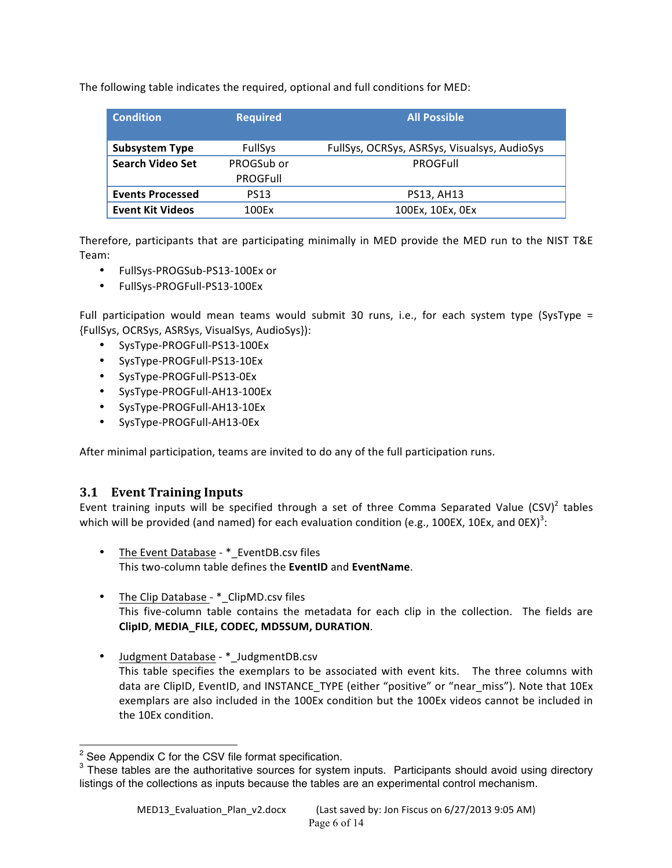The following table indicates the required, optional and full conditions for MED:

| <b>Condition</b>        | <b>Required</b> | <b>All Possible</b>                          |
|-------------------------|-----------------|----------------------------------------------|
| <b>Subsystem Type</b>   | <b>FullSys</b>  | FullSys, OCRSys, ASRSys, Visualsys, AudioSys |
| <b>Search Video Set</b> | PROGSub or      | PROGFull                                     |
|                         | <b>PROGFull</b> |                                              |
| <b>Events Processed</b> | <b>PS13</b>     | PS13, AH13                                   |
| <b>Event Kit Videos</b> | 100Fx           | 100Ex, 10Ex, 0Ex                             |

Therefore, participants that are participating minimally in MED provide the MED run to the NIST T&E Team:

- FullSys-PROGSub-PS13-100Ex or
- FullSys-PROGFull-PS13-100Ex

Full participation would mean teams would submit 30 runs, i.e., for each system type (SysType = {FullSys, OCRSys, ASRSys, VisualSys, AudioSys}):

- SysType-PROGFull-PS13-100Ex
- SysType-PROGFull-PS13-10Ex
- SysType-PROGFull-PS13-0Ex
- SysType-PROGFull-AH13-100Ex
- SysType-PROGFull-AH13-10Ex
- SysType-PROGFull-AH13-0Ex

After minimal participation, teams are invited to do any of the full participation runs.

# **3.1 Event Training Inputs**

Event training inputs will be specified through a set of three Comma Separated Value  $(CSV)^2$  tables which will be provided (and named) for each evaluation condition (e.g., 100EX, 10Ex, and 0EX)<sup>3</sup>:

- The Event Database \* EventDB.csv files This two-column table defines the **EventID** and **EventName**.
- The Clip Database \* ClipMD.csv files This five-column table contains the metadata for each clip in the collection. The fields are **ClipID**, **MEDIA\_FILE, CODEC, MD5SUM, DURATION**.
- Judgment Database \*\_JudgmentDB.csv This table specifies the exemplars to be associated with event kits. The three columns with data are ClipID, EventID, and INSTANCE\_TYPE (either "positive" or "near\_miss"). Note that 10Ex exemplars are also included in the 100Ex condition but the 100Ex videos cannot be included in the 10Ex condition.

 $2$  See Appendix C for the CSV file format specification.

<sup>&</sup>lt;sup>3</sup> These tables are the authoritative sources for system inputs. Participants should avoid using directory listings of the collections as inputs because the tables are an experimental control mechanism.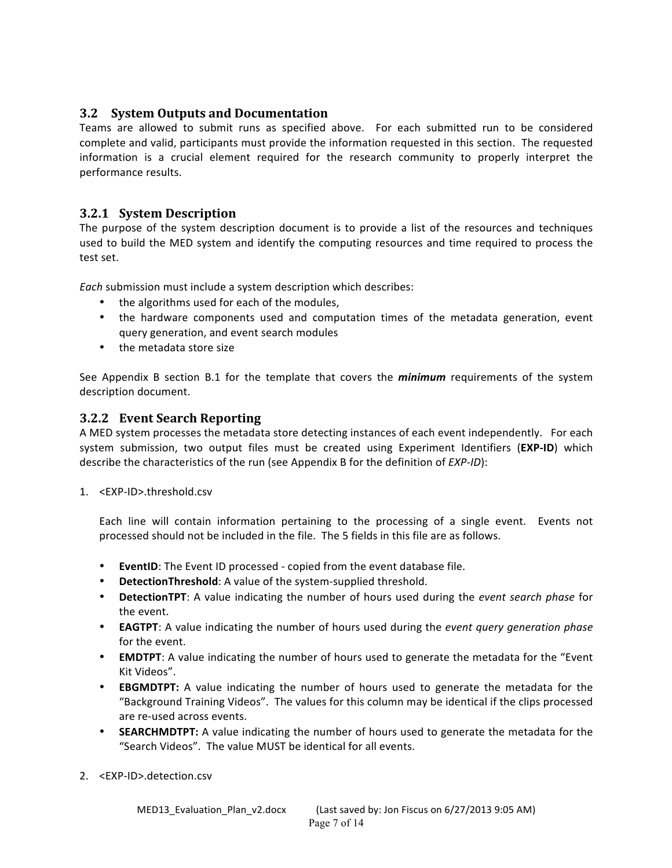# **3.2 System Outputs and Documentation**

Teams are allowed to submit runs as specified above. For each submitted run to be considered complete and valid, participants must provide the information requested in this section. The requested information is a crucial element required for the research community to properly interpret the performance results.

## **3.2.1 System Description**

The purpose of the system description document is to provide a list of the resources and techniques used to build the MED system and identify the computing resources and time required to process the test set.

*Each* submission must include a system description which describes:

- the algorithms used for each of the modules,
- the hardware components used and computation times of the metadata generation, event query generation, and event search modules
- the metadata store size

See Appendix B section B.1 for the template that covers the *minimum* requirements of the system description document.

#### **3.2.2 Event Search Reporting**

A MED system processes the metadata store detecting instances of each event independently. For each system submission, two output files must be created using Experiment Identifiers (EXP-ID) which describe the characteristics of the run (see Appendix B for the definition of *EXP-ID*):

1. <EXP-ID>.threshold.csv

Each line will contain information pertaining to the processing of a single event. Events not processed should not be included in the file. The 5 fields in this file are as follows.

- EventID: The Event ID processed copied from the event database file.
- DetectionThreshold: A value of the system-supplied threshold.
- DetectionTPT: A value indicating the number of hours used during the *event search phase* for the event.
- **EAGTPT**: A value indicating the number of hours used during the *event query generation phase* for the event.
- **EMDTPT**: A value indicating the number of hours used to generate the metadata for the "Event Kit Videos".
- **EBGMDTPT:** A value indicating the number of hours used to generate the metadata for the "Background Training Videos". The values for this column may be identical if the clips processed are re-used across events.
- **SEARCHMDTPT:** A value indicating the number of hours used to generate the metadata for the "Search Videos". The value MUST be identical for all events.
- 2. <EXP-ID>.detection.csv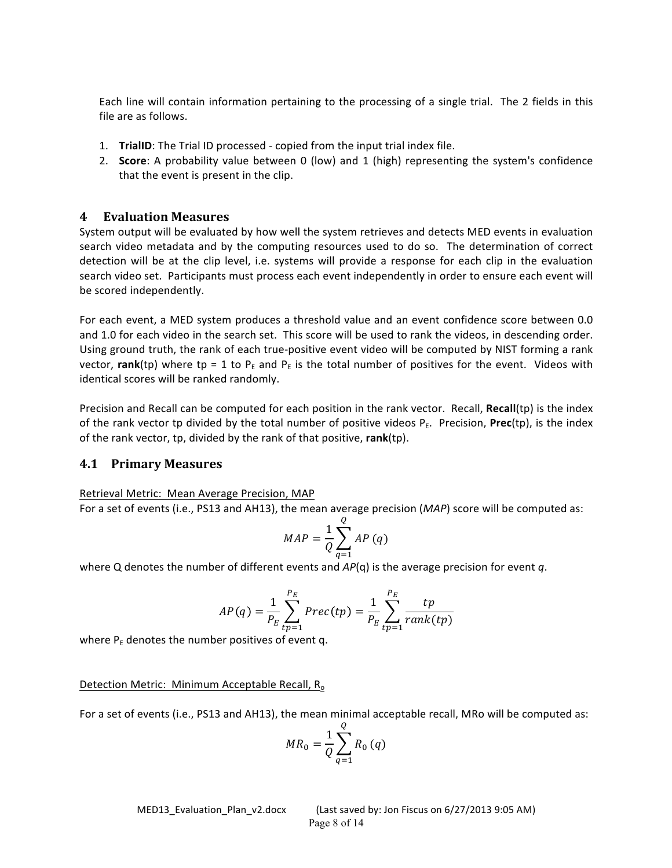Each line will contain information pertaining to the processing of a single trial. The 2 fields in this file are as follows.

- 1. **TrialID**: The Trial ID processed copied from the input trial index file.
- 2. **Score**: A probability value between 0 (low) and 1 (high) representing the system's confidence that the event is present in the clip.

#### **4 Evaluation Measures**

System output will be evaluated by how well the system retrieves and detects MED events in evaluation search video metadata and by the computing resources used to do so. The determination of correct detection will be at the clip level, i.e. systems will provide a response for each clip in the evaluation search video set. Participants must process each event independently in order to ensure each event will be scored independently.

For each event, a MED system produces a threshold value and an event confidence score between 0.0 and 1.0 for each video in the search set. This score will be used to rank the videos, in descending order. Using ground truth, the rank of each true-positive event video will be computed by NIST forming a rank vector, **rank**(tp) where tp = 1 to P<sub>E</sub> and P<sub>E</sub> is the total number of positives for the event. Videos with identical scores will be ranked randomly.

Precision and Recall can be computed for each position in the rank vector. Recall, Recall(tp) is the index of the rank vector tp divided by the total number of positive videos  $P_F$ . Precision, **Prec**(tp), is the index of the rank vector, tp, divided by the rank of that positive, rank(tp).

#### **4.1 Primary Measures**

Retrieval Metric: Mean Average Precision, MAP

For a set of events (i.e., PS13 and AH13), the mean average precision (*MAP*) score will be computed as:

$$
MAP = \frac{1}{Q} \sum_{q=1}^{Q} AP(q)
$$

where Q denotes the number of different events and  $AP(q)$  is the average precision for event q.

$$
AP(q) = \frac{1}{P_E} \sum_{tp=1}^{P_E} \text{Prec(tp)} = \frac{1}{P_E} \sum_{tp=1}^{P_E} \frac{tp}{\text{rank(tp)}}
$$

where  $P_E$  denotes the number positives of event q.

#### Detection Metric: Minimum Acceptable Recall, R<sub>o</sub>

For a set of events (i.e., PS13 and AH13), the mean minimal acceptable recall, MRo will be computed as:

$$
MR_0 = \frac{1}{Q} \sum_{q=1}^{Q} R_0(q)
$$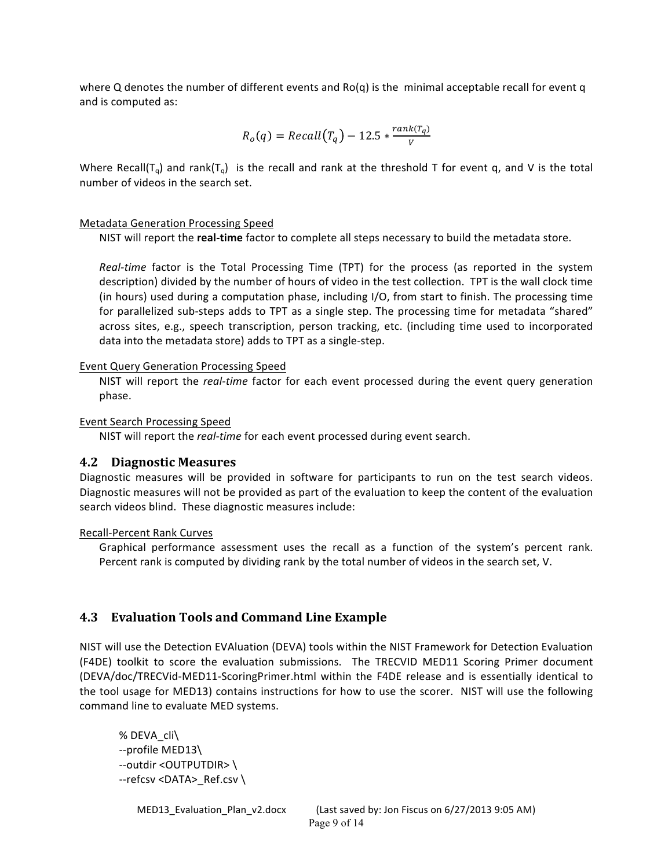where Q denotes the number of different events and  $Ro(q)$  is the minimal acceptable recall for event q and is computed as:

$$
R_o(q) = Recall(T_q) - 12.5 * \frac{rank(T_q)}{V}
$$

Where Recall(T<sub>q</sub>) and rank(T<sub>q</sub>) is the recall and rank at the threshold T for event q, and V is the total number of videos in the search set.

#### Metadata Generation Processing Speed

NIST will report the **real-time** factor to complete all steps necessary to build the metadata store.

*Real-time* factor is the Total Processing Time (TPT) for the process (as reported in the system description) divided by the number of hours of video in the test collection. TPT is the wall clock time (in hours) used during a computation phase, including  $I/O$ , from start to finish. The processing time for parallelized sub-steps adds to TPT as a single step. The processing time for metadata "shared" across sites, e.g., speech transcription, person tracking, etc. (including time used to incorporated data into the metadata store) adds to TPT as a single-step.

#### Event Query Generation Processing Speed

NIST will report the *real-time* factor for each event processed during the event query generation phase. 

#### Event Search Processing Speed

NIST will report the *real-time* for each event processed during event search.

#### **4.2 Diagnostic Measures**

Diagnostic measures will be provided in software for participants to run on the test search videos. Diagnostic measures will not be provided as part of the evaluation to keep the content of the evaluation search videos blind. These diagnostic measures include:

#### Recall-Percent Rank Curves

Graphical performance assessment uses the recall as a function of the system's percent rank. Percent rank is computed by dividing rank by the total number of videos in the search set, V.

#### **4.3 Evaluation Tools and Command Line Example**

NIST will use the Detection EVAluation (DEVA) tools within the NIST Framework for Detection Evaluation (F4DE) toolkit to score the evaluation submissions. The TRECVID MED11 Scoring Primer document (DEVA/doc/TRECVid-MED11-ScoringPrimer.html within the F4DE release and is essentially identical to the tool usage for MED13) contains instructions for how to use the scorer. NIST will use the following command line to evaluate MED systems.

```
%	DEVA_cli\
--profile MED13\
--outdir <OUTPUTDIR> \
--refcsv <DATA>_Ref.csv \
```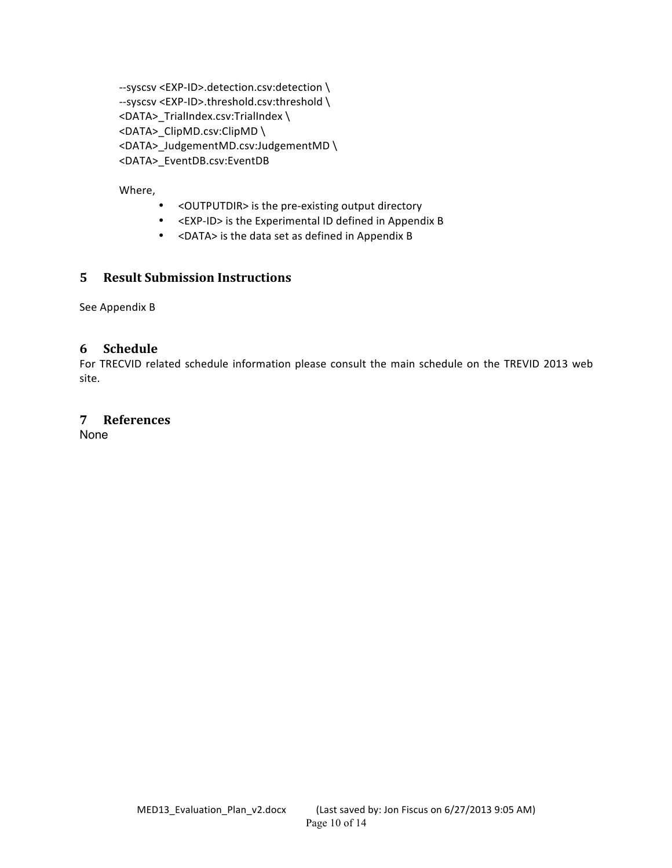--syscsv <EXP-ID>.detection.csv:detection \ --syscsv <EXP-ID>.threshold.csv:threshold \ <DATA>\_TrialIndex.csv:TrialIndex \ <DATA>\_ClipMD.csv:ClipMD \ <DATA>\_JudgementMD.csv:JudgementMD \ <DATA>\_EventDB.csv:EventDB

Where,

- < OUTPUTDIR> is the pre-existing output directory
- <EXP-ID> is the Experimental ID defined in Appendix B
- <DATA> is the data set as defined in Appendix B

## **5 Result Submission Instructions**

See Appendix B

#### **6 Schedule**

For TRECVID related schedule information please consult the main schedule on the TREVID 2013 web site.

#### **7 References**

None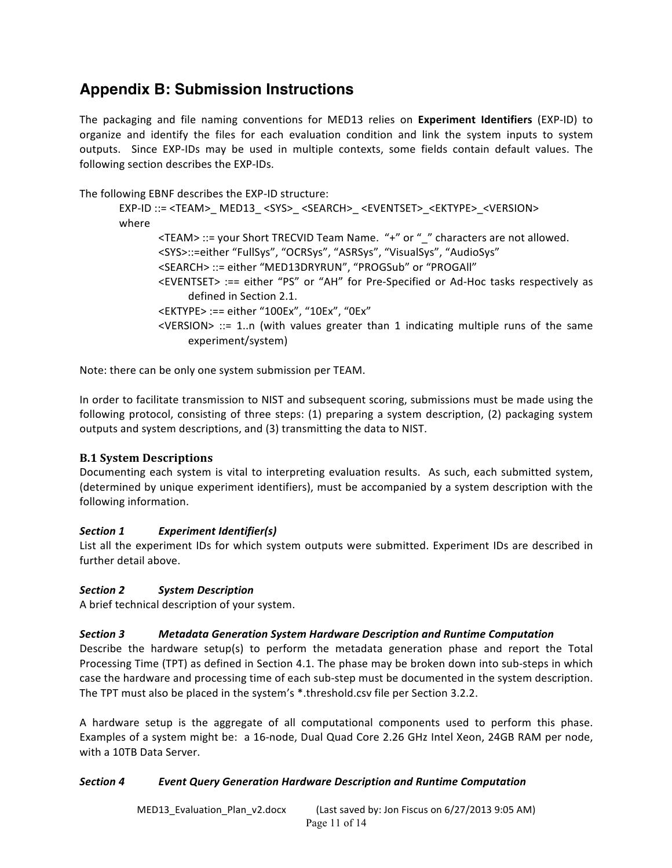# **Appendix B: Submission Instructions**

The packaging and file naming conventions for MED13 relies on Experiment Identifiers (EXP-ID) to organize and identify the files for each evaluation condition and link the system inputs to system outputs. Since EXP-IDs may be used in multiple contexts, some fields contain default values. The following section describes the EXP-IDs.

The following EBNF describes the EXP-ID structure:

```
EXP-ID ::= <TEAM>_ MED13_ <SYS>_ <SEARCH>_ <EVENTSET>_<EKTYPE>_<VERSION>
where
       <TEAM> ::= your Short TRECVID Team Name. "+" or "_" characters are not allowed.
       <SYS>::=either "FullSys", "OCRSys", "ASRSys", "VisualSys", "AudioSys"
       <SEARCH> ::= either "MED13DRYRUN", "PROGSub" or "PROGAll"
       <EVENTSET>	:== either	 "PS"	 or	 "AH"	for	 Pre-Specified	 or	 Ad-Hoc tasks	 respectively as	
             defined in Section 2.1.
       <EKTYPE> :== either "100Ex", "10Ex", "0Ex"
       \leVERSION> ::= 1..n (with values greater than 1 indicating multiple runs of the same
             experiment/system)
```
Note: there can be only one system submission per TEAM.

In order to facilitate transmission to NIST and subsequent scoring, submissions must be made using the following protocol, consisting of three steps:  $(1)$  preparing a system description,  $(2)$  packaging system outputs and system descriptions, and (3) transmitting the data to NIST.

#### **B.1 System Descriptions**

Documenting each system is vital to interpreting evaluation results. As such, each submitted system, (determined by unique experiment identifiers), must be accompanied by a system description with the following information.

#### *Section 1 Experiment Identifier(s)*

List all the experiment IDs for which system outputs were submitted. Experiment IDs are described in further detail above.

#### *Section 2 System Description*

A brief technical description of your system.

#### *Section 3 Metadata Generation System Hardware Description and Runtime Computation*

Describe the hardware setup(s) to perform the metadata generation phase and report the Total Processing Time (TPT) as defined in Section 4.1. The phase may be broken down into sub-steps in which case the hardware and processing time of each sub-step must be documented in the system description. The TPT must also be placed in the system's \*.threshold.csv file per Section 3.2.2.

A hardware setup is the aggregate of all computational components used to perform this phase. Examples of a system might be: a 16-node, Dual Quad Core 2.26 GHz Intel Xeon, 24GB RAM per node, with a 10TB Data Server.

#### *Section 4 Event Query Generation Hardware Description and Runtime Computation*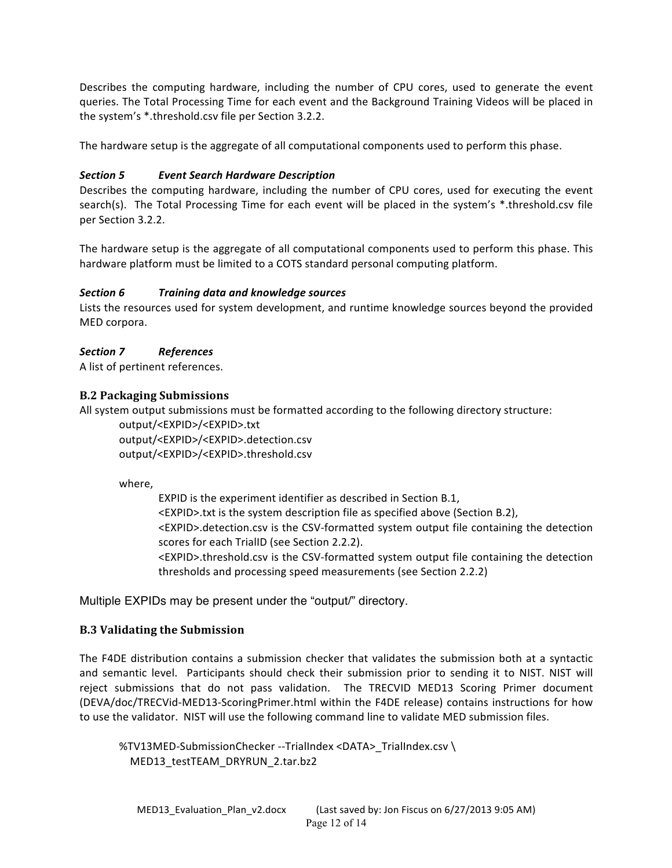Describes the computing hardware, including the number of CPU cores, used to generate the event queries. The Total Processing Time for each event and the Background Training Videos will be placed in the system's \*.threshold.csv file per Section 3.2.2.

The hardware setup is the aggregate of all computational components used to perform this phase.

#### *Section 5 Event Search Hardware Description*

Describes the computing hardware, including the number of CPU cores, used for executing the event search(s). The Total Processing Time for each event will be placed in the system's \*.threshold.csv file per Section 3.2.2.

The hardware setup is the aggregate of all computational components used to perform this phase. This hardware platform must be limited to a COTS standard personal computing platform.

#### *Section 6 Training data and knowledge sources*

Lists the resources used for system development, and runtime knowledge sources beyond the provided MED corpora.

#### *Section 7 References*

A list of pertinent references.

#### **B.2 Packaging Submissions**

All system output submissions must be formatted according to the following directory structure:

output/<EXPID>/<EXPID>.txt output/<EXPID>/<EXPID>.detection.csv output/<EXPID>/<EXPID>.threshold.csv

where,

EXPID is the experiment identifier as described in Section B.1, <EXPID>.txt is the system description file as specified above (Section B.2), <EXPID>.detection.csv is the CSV-formatted system output file containing the detection scores for each TrialID (see Section 2.2.2). <EXPID>.threshold.csv is the CSV-formatted system output file containing the detection thresholds and processing speed measurements (see Section 2.2.2)

Multiple EXPIDs may be present under the "output/" directory.

#### **B.3** Validating the Submission

The F4DE distribution contains a submission checker that validates the submission both at a syntactic and semantic level. Participants should check their submission prior to sending it to NIST. NIST will reject submissions that do not pass validation. The TRECVID MED13 Scoring Primer document (DEVA/doc/TRECVid-MED13-ScoringPrimer.html within the F4DE release) contains instructions for how to use the validator. NIST will use the following command line to validate MED submission files.

%TV13MED-SubmissionChecker --TrialIndex <DATA>\_TrialIndex.csv\ MED13\_testTEAM\_DRYRUN\_2.tar.bz2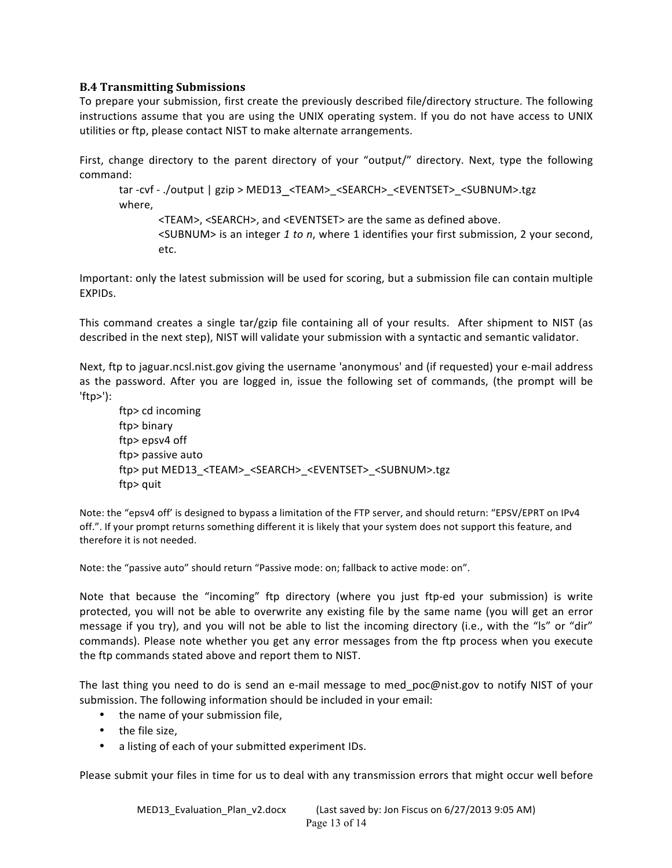#### **B.4 Transmitting Submissions**

To prepare your submission, first create the previously described file/directory structure. The following instructions assume that you are using the UNIX operating system. If you do not have access to UNIX utilities or ftp, please contact NIST to make alternate arrangements.

First, change directory to the parent directory of your "output/" directory. Next, type the following command: 

tar -cvf - ./output | gzip > MED13\_<TEAM>\_<SEARCH>\_<EVENTSET>\_<SUBNUM>.tgz where, 

<TEAM>, <SEARCH>, and <EVENTSET> are the same as defined above. <SUBNUM> is an integer 1 to n, where 1 identifies your first submission, 2 your second, etc. 

Important: only the latest submission will be used for scoring, but a submission file can contain multiple EXPIDs.

This command creates a single tar/gzip file containing all of your results. After shipment to NIST (as described in the next step), NIST will validate your submission with a syntactic and semantic validator.

Next, ftp to jaguar.ncsl.nist.gov giving the username 'anonymous' and (if requested) your e-mail address as the password. After you are logged in, issue the following set of commands, (the prompt will be 'ftp>'): 

ftp> cd incoming ftp> binary ftp> epsv4 off ftp> passive auto ftp> put MED13\_<TEAM>\_<SEARCH>\_<EVENTSET>\_<SUBNUM>.tgz ftp> quit

Note: the "epsv4 off' is designed to bypass a limitation of the FTP server, and should return: "EPSV/EPRT on IPv4 off.". If your prompt returns something different it is likely that your system does not support this feature, and therefore it is not needed.

Note: the "passive auto" should return "Passive mode: on; fallback to active mode: on".

Note that because the "incoming" ftp directory (where you just ftp-ed your submission) is write protected, you will not be able to overwrite any existing file by the same name (you will get an error message if you try), and you will not be able to list the incoming directory (i.e., with the "ls" or "dir" commands). Please note whether you get any error messages from the ftp process when you execute the ftp commands stated above and report them to NIST.

The last thing you need to do is send an e-mail message to med\_poc@nist.gov to notify NIST of your submission. The following information should be included in your email:

- the name of your submission file,
- $\cdot$  the file size,
- a listing of each of your submitted experiment IDs.

Please submit your files in time for us to deal with any transmission errors that might occur well before